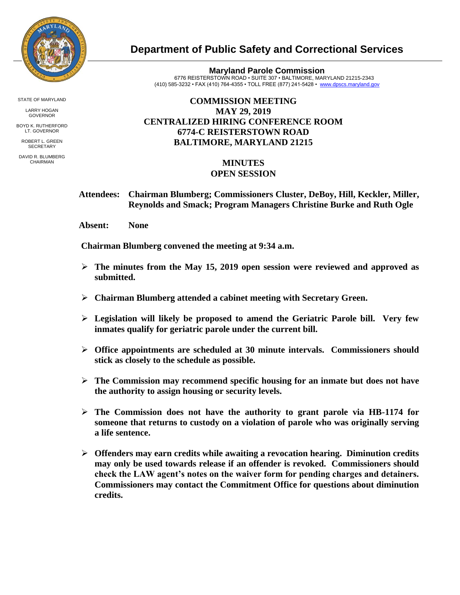

STATE OF MARYLAND

LARRY HOGAN GOVERNOR

BOYD K. RUTHERFORD LT. GOVERNOR

ROBERT L. GREEN **SECRETARY** 

DAVID R. BLUMBERG CHAIRMAN

## **Department of Public Safety and Correctional Services**

**Maryland Parole Commission** 6776 REISTERSTOWN ROAD • SUITE 307 • BALTIMORE, MARYLAND 21215-2343 (410) 585-3232 • FAX (410) 764-4355 • TOLL FREE (877) 241-5428 • [www.dpscs.maryland.gov](http://www.dpscs.maryland.gov/) 

## **COMMISSION MEETING MAY 29, 2019 CENTRALIZED HIRING CONFERENCE ROOM 6774-C REISTERSTOWN ROAD BALTIMORE, MARYLAND 21215**

## **MINUTES OPEN SESSION**

 **Attendees: Chairman Blumberg; Commissioners Cluster, DeBoy, Hill, Keckler, Miller, Reynolds and Smack; Program Managers Christine Burke and Ruth Ogle**

 **Absent: None**

 **Chairman Blumberg convened the meeting at 9:34 a.m.**

- **The minutes from the May 15, 2019 open session were reviewed and approved as submitted.**
- **Chairman Blumberg attended a cabinet meeting with Secretary Green.**
- **Legislation will likely be proposed to amend the Geriatric Parole bill. Very few inmates qualify for geriatric parole under the current bill.**
- **Office appointments are scheduled at 30 minute intervals. Commissioners should stick as closely to the schedule as possible.**
- **The Commission may recommend specific housing for an inmate but does not have the authority to assign housing or security levels.**
- **The Commission does not have the authority to grant parole via HB-1174 for someone that returns to custody on a violation of parole who was originally serving a life sentence.**
- **Offenders may earn credits while awaiting a revocation hearing. Diminution credits may only be used towards release if an offender is revoked. Commissioners should check the LAW agent's notes on the waiver form for pending charges and detainers. Commissioners may contact the Commitment Office for questions about diminution credits.**